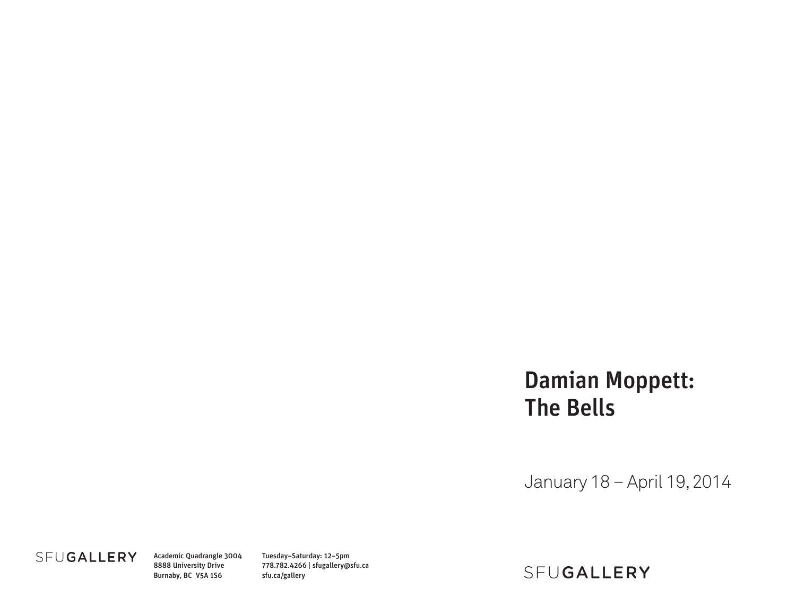# Damian Moppett: The Bells

January 18 – April 19, 2014

### SFUGALLERY

Academic Quadrangle 3004 8888 University Drive Burnaby, BC V5A 1S6

Tuesday–Saturday: 12–5pm 778.782.4266 | sfugallery@sfu.ca sfu.ca/gallery

## SFUGALLERY